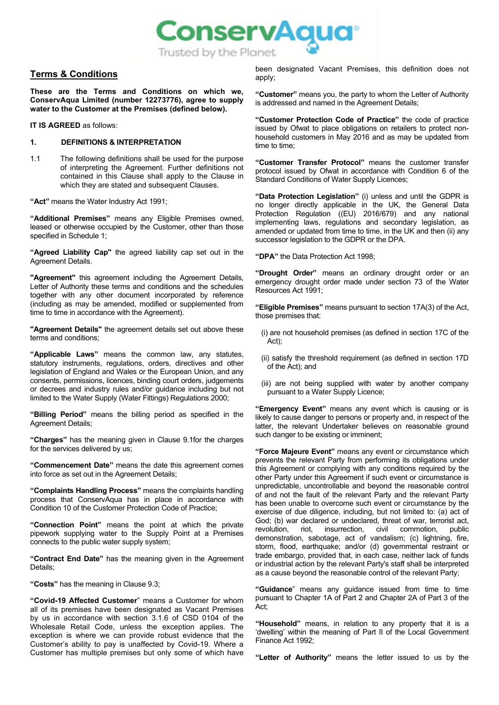

# **Terms & Conditions**

**These are the Terms and Conditions on which we, ConservAqua Limited (number 12273776), agree to supply water to the Customer at the Premises (defined below).**

**IT IS AGREED** as follows:

## **1. DEFINITIONS & INTERPRETATION**

1.1 The following definitions shall be used for the purpose of interpreting the Agreement. Further definitions not contained in this Clause shall apply to the Clause in which they are stated and subsequent Clauses.

**"Act"** means the Water Industry Act 1991;

**"Additional Premises"** means any Eligible Premises owned, leased or otherwise occupied by the Customer, other than those specified in Schedule 1;

**"Agreed Liability Cap"** the agreed liability cap set out in the Agreement Details.

**"Agreement"** this agreement including the Agreement Details, Letter of Authority these terms and conditions and the schedules together with any other document incorporated by reference (including as may be amended, modified or supplemented from time to time in accordance with the Agreement).

**"Agreement Details"** the agreement details set out above these terms and conditions;

**"Applicable Laws"** means the common law, any statutes, statutory instruments, regulations, orders, directives and other legislation of England and Wales or the European Union, and any consents, permissions, licences, binding court orders, judgements or decrees and industry rules and/or guidance including but not limited to the Water Supply (Water Fittings) Regulations 2000;

**"Billing Period"** means the billing period as specified in the Agreement Details;

**"Charges"** has the meaning given in Clause [9.1fo](#page-4-0)r the charges for the services delivered by us;

**"Commencement Date"** means the date this agreement comes into force as set out in the Agreement Details;

**"Complaints Handling Process"** means the complaints handling process that ConservAqua has in place in accordance with Condition 10 of the Customer Protection Code of Practice;

**"Connection Point"** means the point at which the private pipework supplying water to the Supply Point at a Premises connects to the public water supply system;

**"Contract End Date"** has the meaning given in the Agreement Details;

**"Costs"** has the meaning in Claus[e 9.3;](#page-4-1) 

**"Covid-19 Affected Customer**" means a Customer for whom all of its premises have been designated as Vacant Premises by us in accordance with section 3.1.6 of CSD 0104 of the Wholesale Retail Code, unless the exception applies. The exception is where we can provide robust evidence that the Customer's ability to pay is unaffected by Covid-19. Where a Customer has multiple premises but only some of which have

been designated Vacant Premises, this definition does not apply;

**"Customer"** means you, the party to whom the Letter of Authority is addressed and named in the Agreement Details;

**"Customer Protection Code of Practice"** the code of practice issued by Ofwat to place obligations on retailers to protect nonhousehold customers in May 2016 and as may be updated from time to time;

**"Customer Transfer Protocol"** means the customer transfer protocol issued by Ofwat in accordance with Condition 6 of the Standard Conditions of Water Supply Licences;

**"Data Protection Legislation"** (i) unless and until the GDPR is no longer directly applicable in the UK, the General Data Protection Regulation ((EU) 2016/679) and any national implementing laws, regulations and secondary legislation, as amended or updated from time to time, in the UK and then (ii) any successor legislation to the GDPR or the DPA.

**"DPA"** the Data Protection Act 1998;

**"Drought Order"** means an ordinary drought order or an emergency drought order made under section 73 of the Water Resources Act 1991;

**"Eligible Premises"** means pursuant to section 17A(3) of the Act, those premises that:

- (i) are not household premises (as defined in section 17C of the Act);
- (ii) satisfy the threshold requirement (as defined in section 17D of the Act); and
- (iii) are not being supplied with water by another company pursuant to a Water Supply Licence;

**"Emergency Event"** means any event which is causing or is likely to cause danger to persons or property and, in respect of the latter, the relevant Undertaker believes on reasonable ground such danger to be existing or imminent;

**"Force Majeure Event"** means any event or circumstance which prevents the relevant Party from performing its obligations under this Agreement or complying with any conditions required by the other Party under this Agreement if such event or circumstance is unpredictable, uncontrollable and beyond the reasonable control of and not the fault of the relevant Party and the relevant Party has been unable to overcome such event or circumstance by the exercise of due diligence, including, but not limited to: (a) act of God; (b) war declared or undeclared, threat of war, terrorist act, revolution. <br>
rist. 
revolution. 
riot. 
insurrection. 
civil 
commotion. 
public revolution, riot, insurrection, civil commotion, public demonstration, sabotage, act of vandalism; (c) lightning, fire, storm, flood, earthquake; and/or (d) governmental restraint or trade embargo, provided that, in each case, neither lack of funds or industrial action by the relevant Party's staff shall be interpreted as a cause beyond the reasonable control of the relevant Party;

**"Guidance**" means any guidance issued from time to time pursuant to Chapter 1A of Part 2 and Chapter 2A of Part 3 of the Act;

**"Household"** means, in relation to any property that it is a 'dwelling' within the meaning of Part II of the Local Government Finance Act 1992;

**"Letter of Authority"** means the letter issued to us by the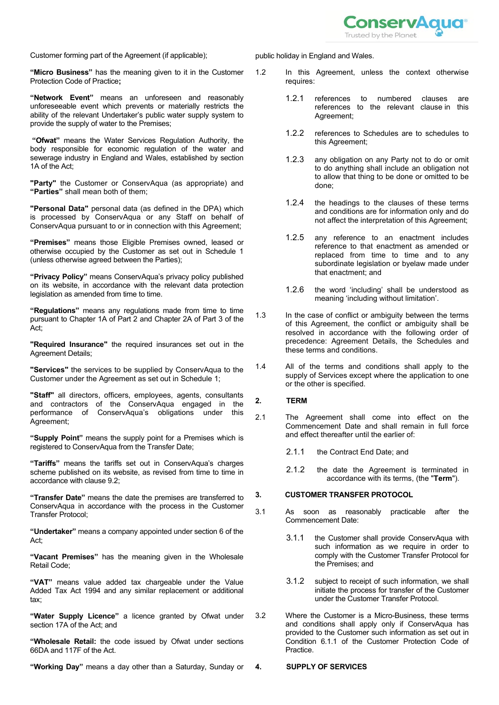

Customer forming part of the Agreement (if applicable);

**"Micro Business"** has the meaning given to it in the Customer Protection Code of Practice**;**

**"Network Event"** means an unforeseen and reasonably unforeseeable event which prevents or materially restricts the ability of the relevant Undertaker's public water supply system to provide the supply of water to the Premises;

**"Ofwat"** means the Water Services Regulation Authority, the body responsible for economic regulation of the water and sewerage industry in England and Wales, established by section 1A of the Act;

**"Party"** the Customer or ConservAqua (as appropriate) and **"Parties"** shall mean both of them;

**"Personal Data"** personal data (as defined in the DPA) which is processed by ConservAqua or any Staff on behalf of ConservAqua pursuant to or in connection with this Agreement;

**"Premises"** means those Eligible Premises owned, leased or otherwise occupied by the Customer as set out in Schedule 1 (unless otherwise agreed between the Parties);

**"Privacy Policy"** means ConservAqua's privacy policy published on its website, in accordance with the relevant data protection legislation as amended from time to time.

**"Regulations"** means any regulations made from time to time pursuant to Chapter 1A of Part 2 and Chapter 2A of Part 3 of the Act;

**"Required Insurance"** the required insurances set out in the Agreement Details;

**"Services"** the services to be supplied by ConservAqua to the Customer under the Agreement as set out in Schedule 1;

**"Staff"** all directors, officers, employees, agents, consultants and contractors of the ConservAqua engaged in the performance of ConservAqua's obligations under this Agreement;

**"Supply Point"** means the supply point for a Premises which is registered to ConservAqua from the Transfer Date;

**"Tariffs"** means the tariffs set out in ConservAqua's charges scheme published on its website, as revised from time to time in accordance with claus[e 9.2;](#page-4-2)

**"Transfer Date"** means the date the premises are transferred to ConservAqua in accordance with the process in the Customer Transfer Protocol;

**"Undertaker"** means a company appointed under section 6 of the Act;

**"Vacant Premises"** has the meaning given in the Wholesale Retail Code;

**"VAT"** means value added tax chargeable under the Value Added Tax Act 1994 and any similar replacement or additional tax;

**"Water Supply Licence"** a licence granted by Ofwat under section 17A of the Act; and

**"Wholesale Retail:** the code issued by Ofwat under sections 66DA and 117F of the Act.

**"Working Day"** means a day other than a Saturday, Sunday or

public holiday in England and Wales.

- 1.2 In this Agreement, unless the context otherwise requires:
	- 1.2.1 references to numbered clauses are references to the relevant clause in this Agreement;
	- 1.2.2 references to Schedules are to schedules to this Agreement;
	- 1.2.3 any obligation on any Party not to do or omit to do anything shall include an obligation not to allow that thing to be done or omitted to be done;
	- 1.2.4 the headings to the clauses of these terms and conditions are for information only and do not affect the interpretation of this Agreement;
	- 1.2.5 any reference to an enactment includes reference to that enactment as amended or replaced from time to time and to any subordinate legislation or byelaw made under that enactment; and
	- 1.2.6 the word 'including' shall be understood as meaning 'including without limitation'.
- 1.3 In the case of conflict or ambiguity between the terms of this Agreement, the conflict or ambiguity shall be resolved in accordance with the following order of precedence: Agreement Details, the Schedules and these terms and conditions.
- 1.4 All of the terms and conditions shall apply to the supply of Services except where the application to one or the other is specified.

# **2. TERM**

2.1 The Agreement shall come into effect on the Commencement Date and shall remain in full force and effect thereafter until the earlier of:

2.1.1 the Contract End Date; and

2.1.2 the date the Agreement is terminated in accordance with its terms, (the "**Term**").

# **3. CUSTOMER TRANSFER PROTOCOL**

- 3.1 As soon as reasonably practicable after the Commencement Date:
	- 3.1.1 the Customer shall provide ConservAqua with such information as we require in order to comply with the Customer Transfer Protocol for the Premises; and
	- 3.1.2 subject to receipt of such information, we shall initiate the process for transfer of the Customer under the Customer Transfer Protocol.
- 3.2 Where the Customer is a Micro-Business, these terms and conditions shall apply only if ConservAqua has provided to the Customer such information as set out in Condition 6.1.1 of the Customer Protection Code of Practice.

# **4. SUPPLY OF SERVICES**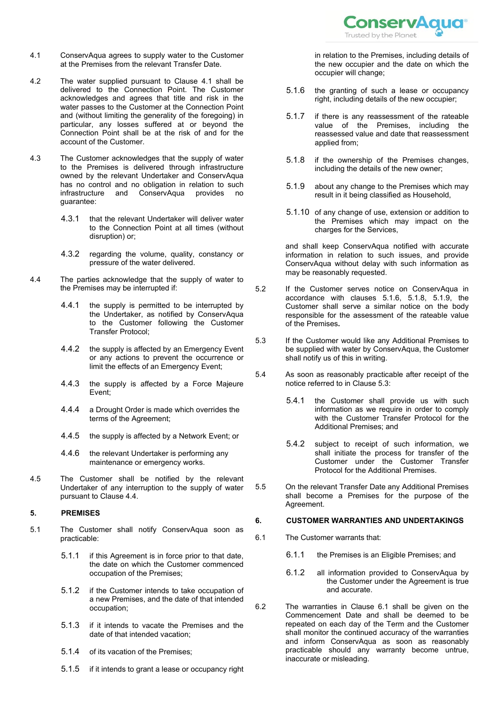

- <span id="page-2-0"></span>4.1 ConservAqua agrees to supply water to the Customer at the Premises from the relevant Transfer Date.
- 4.2 The water supplied pursuant to Clause [4.1](#page-2-0) shall be delivered to the Connection Point. The Customer acknowledges and agrees that title and risk in the water passes to the Customer at the Connection Point and (without limiting the generality of the foregoing) in particular, any losses suffered at or beyond the Connection Point shall be at the risk of and for the account of the Customer.
- 4.3 The Customer acknowledges that the supply of water to the Premises is delivered through infrastructure owned by the relevant Undertaker and ConservAqua has no control and no obligation in relation to such<br>infrastructure and ConservAqua provides no infrastructure and guarantee:
	- 4.3.1 that the relevant Undertaker will deliver water to the Connection Point at all times (without disruption) or;
	- 4.3.2 regarding the volume, quality, constancy or pressure of the water delivered.
- <span id="page-2-1"></span>4.4 The parties acknowledge that the supply of water to the Premises may be interrupted if:
	- 4.4.1 the supply is permitted to be interrupted by the Undertaker, as notified by ConservAqua to the Customer following the Customer Transfer Protocol;
	- 4.4.2 the supply is affected by an Emergency Event or any actions to prevent the occurrence or limit the effects of an Emergency Event;
	- 4.4.3 the supply is affected by a Force Majeure Event;
	- 4.4.4 a Drought Order is made which overrides the terms of the Agreement;
	- 4.4.5 the supply is affected by a Network Event; or
	- 4.4.6 the relevant Undertaker is performing any maintenance or emergency works.
- 4.5 The Customer shall be notified by the relevant Undertaker of any interruption to the supply of water pursuant to Clause [4.4.](#page-2-1)

# **5. PREMISES**

- 5.1 The Customer shall notify ConservAqua soon as practicable:
	- 5.1.1 if this Agreement is in force prior to that date, the date on which the Customer commenced occupation of the Premises;
	- 5.1.2 if the Customer intends to take occupation of a new Premises, and the date of that intended occupation;
	- 5.1.3 if it intends to vacate the Premises and the date of that intended vacation;
	- 5.1.4 of its vacation of the Premises;
	- 5.1.5 if it intends to grant a lease or occupancy right

in relation to the Premises, including details of the new occupier and the date on which the occupier will change;

- <span id="page-2-2"></span>5.1.6 the granting of such a lease or occupancy right, including details of the new occupier;
- 5.1.7 if there is any reassessment of the rateable value of the Premises, including the reassessed value and date that reassessment applied from;
- <span id="page-2-3"></span>5.1.8 if the ownership of the Premises changes, including the details of the new owner;
- <span id="page-2-4"></span>5.1.9 about any change to the Premises which may result in it being classified as Household,
- 5.1.10 of any change of use, extension or addition to the Premises which may impact on the charges for the Services,

and shall keep ConservAqua notified with accurate information in relation to such issues, and provide ConservAqua without delay with such information as may be reasonably requested.

- 5.2 If the Customer serves notice on ConservAqua in accordance with clauses [5.1.6,](#page-2-2) [5.1.8,](#page-2-3) [5.1.9,](#page-2-4) the Customer shall serve a similar notice on the body responsible for the assessment of the rateable value of the Premises**.**
- <span id="page-2-5"></span>5.3 If the Customer would like any Additional Premises to be supplied with water by ConservAqua, the Customer shall notify us of this in writing.
- 5.4 As soon as reasonably practicable after receipt of the notice referred to in Claus[e 5.3:](#page-2-5)
	- 5.4.1 the Customer shall provide us with such information as we require in order to comply with the Customer Transfer Protocol for the Additional Premises; and
	- 5.4.2 subject to receipt of such information, we shall initiate the process for transfer of the Customer under the Customer Transfer Protocol for the Additional Premises.
- 5.5 On the relevant Transfer Date any Additional Premises shall become a Premises for the purpose of the Agreement.

# **6. CUSTOMER WARRANTIES AND UNDERTAKINGS**

- <span id="page-2-6"></span>6.1 The Customer warrants that:
	- 6.1.1 the Premises is an Eligible Premises; and
	- 6.1.2 all information provided to ConservAqua by the Customer under the Agreement is true and accurate.
- 6.2 The warranties in Clause [6.1](#page-2-6) shall be given on the Commencement Date and shall be deemed to be repeated on each day of the Term and the Customer shall monitor the continued accuracy of the warranties and inform ConservAqua as soon as reasonably practicable should any warranty become untrue, inaccurate or misleading.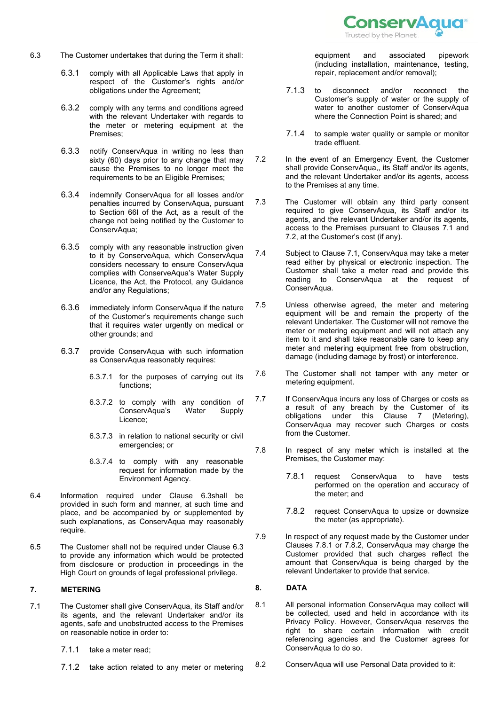

- <span id="page-3-0"></span>6.3 The Customer undertakes that during the Term it shall:
	- 6.3.1 comply with all Applicable Laws that apply in respect of the Customer's rights and/or obligations under the Agreement;
	- 6.3.2 comply with any terms and conditions agreed with the relevant Undertaker with regards to the meter or metering equipment at the Premises;
	- 6.3.3 notify ConservAqua in writing no less than sixty (60) days prior to any change that may cause the Premises to no longer meet the requirements to be an Eligible Premises;
	- 6.3.4 indemnify ConservAqua for all losses and/or penalties incurred by ConservAqua, pursuant to Section 66I of the Act, as a result of the change not being notified by the Customer to ConservAqua;
	- 6.3.5 comply with any reasonable instruction given to it by ConserveAqua, which ConservAqua considers necessary to ensure ConservAqua complies with ConserveAqua's Water Supply Licence, the Act, the Protocol, any Guidance and/or any Regulations;
	- 6.3.6 immediately inform ConservAqua if the nature of the Customer's requirements change such that it requires water urgently on medical or other grounds; and
	- 6.3.7 provide ConservAqua with such information as ConservAqua reasonably requires:
		- 6.3.7.1 for the purposes of carrying out its functions;
		- 6.3.7.2 to comply with any condition of ConservAqua's Licence;
		- 6.3.7.3 in relation to national security or civil emergencies; or
		- 6.3.7.4 to comply with any reasonable request for information made by the Environment Agency.
- 6.4 Information required under Clause [6.3s](#page-3-0)hall be provided in such form and manner, at such time and place, and be accompanied by or supplemented by such explanations, as ConservAqua may reasonably require.
- 6.5 The Customer shall not be required under Clause [6.3](#page-3-0) to provide any information which would be protected from disclosure or production in proceedings in the High Court on grounds of legal professional privilege.

## <span id="page-3-3"></span>**7. METERING**

- <span id="page-3-1"></span>7.1 The Customer shall give ConservAqua, its Staff and/or its agents, and the relevant Undertaker and/or its agents, safe and unobstructed access to the Premises on reasonable notice in order to:
	- 7.1.1 take a meter read;
	- 7.1.2 take action related to any meter or metering

equipment and associated pipework (including installation, maintenance, testing, repair, replacement and/or removal);

- 7.1.3 to disconnect and/or reconnect the Customer's supply of water or the supply of water to another customer of ConservAqua where the Connection Point is shared; and
- 7.1.4 to sample water quality or sample or monitor trade effluent.
- <span id="page-3-2"></span>7.2 In the event of an Emergency Event, the Customer shall provide ConservAqua,, its Staff and/or its agents, and the relevant Undertaker and/or its agents, access to the Premises at any time.
- 7.3 The Customer will obtain any third party consent required to give ConservAqua, its Staff and/or its agents, and the relevant Undertaker and/or its agents, access to the Premises pursuant to Clauses [7.1](#page-3-1) and [7.2,](#page-3-2) at the Customer's cost (if any).
- 7.4 Subject to Clause [7.1,](#page-3-1) ConservAqua may take a meter read either by physical or electronic inspection. The Customer shall take a meter read and provide this reading to ConservAqua at the request of ConservAqua.
- 7.5 Unless otherwise agreed, the meter and metering equipment will be and remain the property of the relevant Undertaker. The Customer will not remove the meter or metering equipment and will not attach any item to it and shall take reasonable care to keep any meter and metering equipment free from obstruction, damage (including damage by frost) or interference.
- 7.6 The Customer shall not tamper with any meter or metering equipment.
- <span id="page-3-6"></span>7.7 If ConservAqua incurs any loss of Charges or costs as a result of any breach by the Customer of its obligations under this Clause [7](#page-3-3) (Metering), ConservAqua may recover such Charges or costs from the Customer.
- <span id="page-3-4"></span>7.8 In respect of any meter which is installed at the Premises, the Customer may:
	- 7.8.1 request ConservAqua to have tests performed on the operation and accuracy of the meter; and
	- 7.8.2 request ConservAqua to upsize or downsize the meter (as appropriate).
- <span id="page-3-5"></span>7.9 In respect of any request made by the Customer under Clauses [7.8.1](#page-3-4) or [7.8.2,](#page-3-5) ConservAqua may charge the Customer provided that such charges reflect the amount that ConservAqua is being charged by the relevant Undertaker to provide that service.

### **8. DATA**

- 8.1 All personal information ConservAqua may collect will be collected, used and held in accordance with its Privacy Policy. However, ConservAqua reserves the right to share certain information with credit referencing agencies and the Customer agrees for ConservAqua to do so.
- 8.2 ConservAqua will use Personal Data provided to it: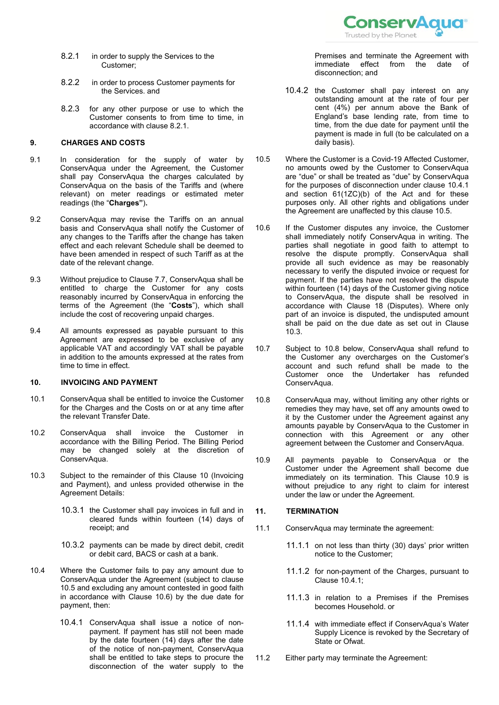

- <span id="page-4-3"></span>8.2.1 in order to supply the Services to the Customer;
- 8.2.2 in order to process Customer payments for the Services. and
- 8.2.3 for any other purpose or use to which the Customer consents to from time to time, in accordance with clause [8.2.1.](#page-4-3)

# <span id="page-4-11"></span>**9. CHARGES AND COSTS**

- <span id="page-4-0"></span>9.1 In consideration for the supply of water by ConservAqua under the Agreement, the Customer shall pay ConservAqua the charges calculated by ConservAqua on the basis of the Tariffs and (where relevant) on meter readings or estimated meter readings (the "**Charges"**)**.**
- <span id="page-4-2"></span>9.2 ConservAqua may revise the Tariffs on an annual basis and ConservAqua shall notify the Customer of any changes to the Tariffs after the change has taken effect and each relevant Schedule shall be deemed to have been amended in respect of such Tariff as at the date of the relevant change.
- <span id="page-4-1"></span>9.3 Without prejudice to Clause [7.7,](#page-3-6) ConservAqua shall be entitled to charge the Customer for any costs reasonably incurred by ConservAqua in enforcing the terms of the Agreement (the "**Costs**"), which shall include the cost of recovering unpaid charges.
- 9.4 All amounts expressed as payable pursuant to this Agreement are expressed to be exclusive of any applicable VAT and accordingly VAT shall be payable in addition to the amounts expressed at the rates from time to time in effect.

# <span id="page-4-4"></span>**10. INVOICING AND PAYMENT**

- 10.1 ConservAqua shall be entitled to invoice the Customer for the Charges and the Costs on or at any time after the relevant Transfer Date.
- 10.2 ConservAqua shall invoice the Customer in accordance with the Billing Period. The Billing Period may be changed solely at the discretion of ConservAqua.
- <span id="page-4-7"></span>10.3 Subject to the remainder of this Clause [10](#page-4-4) (Invoicing and Payment), and unless provided otherwise in the Agreement Details:
	- 10.3.1 the Customer shall pay invoices in full and in cleared funds within fourteen (14) days of receipt; and
	- 10.3.2 payments can be made by direct debit, credit or debit card, BACS or cash at a bank.
- <span id="page-4-10"></span>10.4 Where the Customer fails to pay any amount due to ConservAqua under the Agreement (subject to clause [10.5](#page-4-5) and excluding any amount contested in good faith in accordance with Clause [10.6\)](#page-4-6) by the due date for payment, then:
	- 10.4.1 ConservAqua shall issue a notice of nonpayment. If payment has still not been made by the date fourteen (14) days after the date of the notice of non-payment, ConservAqua shall be entitled to take steps to procure the disconnection of the water supply to the

Premises and terminate the Agreement with<br>
immediate effect from the date of immediate effect from the date of disconnection; and

- 10.4.2 the Customer shall pay interest on any outstanding amount at the rate of four per cent (4%) per annum above the Bank of England's base lending rate, from time to time, from the due date for payment until the payment is made in full (to be calculated on a daily basis).
- <span id="page-4-5"></span>10.5 Where the Customer is a Covid-19 Affected Customer, no amounts owed by the Customer to ConservAqua are "due" or shall be treated as "due" by ConservAqua for the purposes of disconnection under clause 10.4.1 and section 61(1ZC)(b) of the Act and for these purposes only. All other rights and obligations under the Agreement are unaffected by this clause [10.5.](#page-4-5)
- <span id="page-4-6"></span>10.6 If the Customer disputes any invoice, the Customer shall immediately notify ConservAqua in writing. The parties shall negotiate in good faith to attempt to resolve the dispute promptly. ConservAqua shall provide all such evidence as may be reasonably necessary to verify the disputed invoice or request for payment. If the parties have not resolved the dispute within fourteen (14) days of the Customer giving notice to ConservAqua, the dispute shall be resolved in accordance with Clause [18](#page-6-0) (Disputes). Where only part of an invoice is disputed, the undisputed amount shall be paid on the due date as set out in Clause [10.3.](#page-4-7)
- 10.7 Subject to [10.8](#page-4-8) below, ConservAqua shall refund to the Customer any overcharges on the Customer's account and such refund shall be made to the Customer once the Undertaker has refunded ConservAqua.
- <span id="page-4-8"></span>10.8 ConservAqua may, without limiting any other rights or remedies they may have, set off any amounts owed to it by the Customer under the Agreement against any amounts payable by ConservAqua to the Customer in connection with this Agreement or any other agreement between the Customer and ConservAqua.
- <span id="page-4-9"></span>10.9 All payments payable to ConservAqua or the Customer under the Agreement shall become due immediately on its termination. This Clause [10.9](#page-4-9) is without prejudice to any right to claim for interest under the law or under the Agreement.

### **11. TERMINATION**

- 11.1 ConservAqua may terminate the agreement:
	- 11.1.1 on not less than thirty (30) days' prior written notice to the Customer;
	- 11.1.2 for non-payment of the Charges, pursuant to Clause [10.4.1;](#page-4-10)
	- 11.1.3 in relation to a Premises if the Premises becomes Household. or
	- 11.1.4 with immediate effect if ConservAqua's Water Supply Licence is revoked by the Secretary of State or Ofwat.
- 11.2 Either party may terminate the Agreement: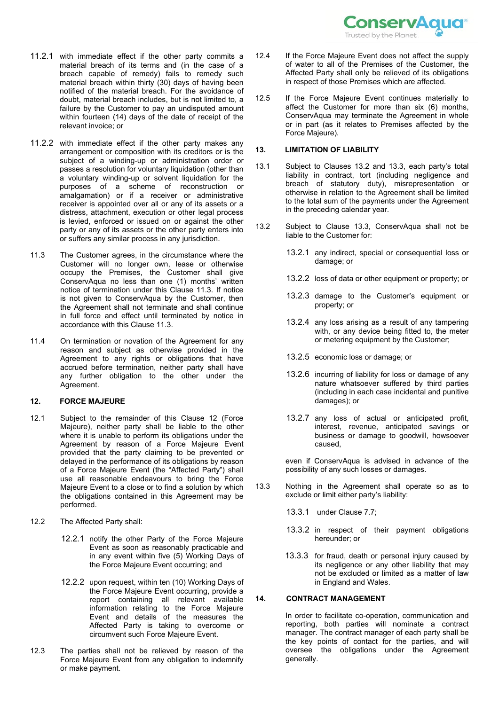

- 11.2.1 with immediate effect if the other party commits a material breach of its terms and (in the case of a breach capable of remedy) fails to remedy such material breach within thirty (30) days of having been notified of the material breach. For the avoidance of doubt, material breach includes, but is not limited to, a failure by the Customer to pay an undisputed amount within fourteen (14) days of the date of receipt of the relevant invoice; or
- 11.2.2 with immediate effect if the other party makes any arrangement or composition with its creditors or is the subject of a winding-up or administration order or passes a resolution for voluntary liquidation (other than a voluntary winding-up or solvent liquidation for the purposes of a scheme of reconstruction or amalgamation) or if a receiver or administrative receiver is appointed over all or any of its assets or a distress, attachment, execution or other legal process is levied, enforced or issued on or against the other party or any of its assets or the other party enters into or suffers any similar process in any jurisdiction.
- <span id="page-5-0"></span>11.3 The Customer agrees, in the circumstance where the Customer will no longer own, lease or otherwise occupy the Premises, the Customer shall give ConservAqua no less than one (1) months' written notice of termination under this Clause [11.3.](#page-5-0) If notice is not given to ConservAqua by the Customer, then the Agreement shall not terminate and shall continue in full force and effect until terminated by notice in accordance with this Claus[e 11.3.](#page-5-0)
- 11.4 On termination or novation of the Agreement for any reason and subject as otherwise provided in the Agreement to any rights or obligations that have accrued before termination, neither party shall have any further obligation to the other under the Agreement.

### <span id="page-5-1"></span>**12. FORCE MAJEURE**

- 12.1 Subject to the remainder of this Clause [12](#page-5-1) (Force Majeure), neither party shall be liable to the other where it is unable to perform its obligations under the Agreement by reason of a Force Majeure Event provided that the party claiming to be prevented or delayed in the performance of its obligations by reason of a Force Majeure Event (the "Affected Party") shall use all reasonable endeavours to bring the Force Majeure Event to a close or to find a solution by which the obligations contained in this Agreement may be performed.
- 12.2 The Affected Party shall:
	- 12.2.1 notify the other Party of the Force Majeure Event as soon as reasonably practicable and in any event within five (5) Working Days of the Force Majeure Event occurring; and
	- 12.2.2 upon request, within ten (10) Working Days of the Force Majeure Event occurring, provide a report containing all relevant available information relating to the Force Majeure Event and details of the measures the Affected Party is taking to overcome or circumvent such Force Majeure Event.
- 12.3 The parties shall not be relieved by reason of the Force Majeure Event from any obligation to indemnify or make payment.
- 12.4 If the Force Majeure Event does not affect the supply of water to all of the Premises of the Customer, the Affected Party shall only be relieved of its obligations in respect of those Premises which are affected.
- 12.5 If the Force Majeure Event continues materially to affect the Customer for more than six (6) months, ConservAqua may terminate the Agreement in whole or in part (as it relates to Premises affected by the Force Majeure).

#### <span id="page-5-4"></span>**13. LIMITATION OF LIABILITY**

- 13.1 Subject to Clauses [13.2](#page-5-2) and [13.3,](#page-5-3) each party's total liability in contract, tort (including negligence and breach of statutory duty), misrepresentation or otherwise in relation to the Agreement shall be limited to the total sum of the payments under the Agreement in the preceding calendar year.
- <span id="page-5-2"></span>13.2 Subject to Clause [13.3,](#page-5-3) ConservAqua shall not be liable to the Customer for:
	- 13.2.1 any indirect, special or consequential loss or damage; or
	- 13.2.2 loss of data or other equipment or property; or
	- 13.2.3 damage to the Customer's equipment or property; or
	- 13.2.4 any loss arising as a result of any tampering with, or any device being fitted to, the meter or metering equipment by the Customer;
	- 13.2.5 economic loss or damage; or
	- 13.2.6 incurring of liability for loss or damage of any nature whatsoever suffered by third parties (including in each case incidental and punitive damages); or
	- 13.2.7 any loss of actual or anticipated profit, interest, revenue, anticipated savings or business or damage to goodwill, howsoever caused,

even if ConservAqua is advised in advance of the possibility of any such losses or damages.

- <span id="page-5-3"></span>13.3 Nothing in the Agreement shall operate so as to exclude or limit either party's liability:
	- 13.3.1 under Claus[e 7.7;](#page-3-6)
	- 13.3.2 in respect of their payment obligations hereunder; or
	- 13.3.3 for fraud, death or personal injury caused by its negligence or any other liability that may not be excluded or limited as a matter of law in England and Wales.

# **14. CONTRACT MANAGEMENT**

In order to facilitate co-operation, communication and reporting, both parties will nominate a contract manager. The contract manager of each party shall be the key points of contact for the parties, and will oversee the obligations under the Agreement generally.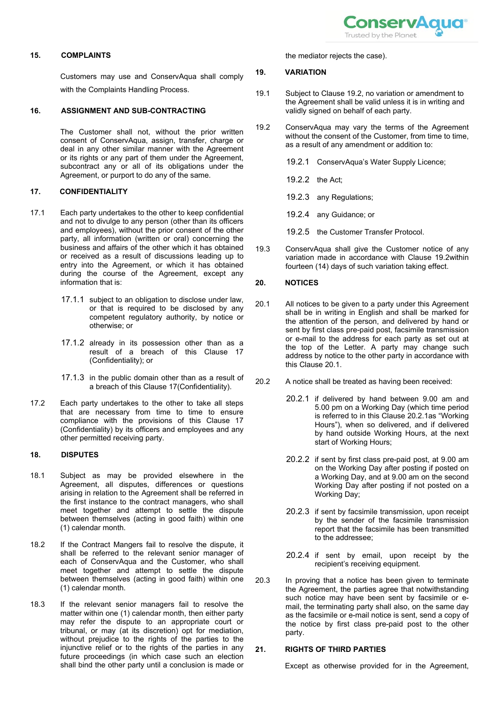

### **15. COMPLAINTS**

Customers may use and ConservAqua shall comply with the Complaints Handling Process.

### **16. ASSIGNMENT AND SUB-CONTRACTING**

The Customer shall not, without the prior written consent of ConservAqua, assign, transfer, charge or deal in any other similar manner with the Agreement or its rights or any part of them under the Agreement, subcontract any or all of its obligations under the Agreement, or purport to do any of the same.

# <span id="page-6-1"></span>**17. CONFIDENTIALITY**

- 17.1 Each party undertakes to the other to keep confidential and not to divulge to any person (other than its officers and employees), without the prior consent of the other party, all information (written or oral) concerning the business and affairs of the other which it has obtained or received as a result of discussions leading up to entry into the Agreement, or which it has obtained during the course of the Agreement, except any information that is:
	- 17.1.1 subject to an obligation to disclose under law, or that is required to be disclosed by any competent regulatory authority, by notice or otherwise; or
	- 17.1.2 already in its possession other than as a result of a breach of this Clause [17](#page-6-1) (Confidentiality); or
	- 17.1.3 in the public domain other than as a result of a breach of this Claus[e 17\(](#page-6-1)Confidentiality).
- 17.2 Each party undertakes to the other to take all steps that are necessary from time to time to ensure compliance with the provisions of this Clause [17](#page-6-1) (Confidentiality) by its officers and employees and any other permitted receiving party.

### <span id="page-6-0"></span>**18. DISPUTES**

- 18.1 Subject as may be provided elsewhere in the Agreement, all disputes, differences or questions arising in relation to the Agreement shall be referred in the first instance to the contract managers, who shall meet together and attempt to settle the dispute between themselves (acting in good faith) within one (1) calendar month.
- 18.2 If the Contract Mangers fail to resolve the dispute, it shall be referred to the relevant senior manager of each of ConservAqua and the Customer, who shall meet together and attempt to settle the dispute between themselves (acting in good faith) within one (1) calendar month.
- 18.3 If the relevant senior managers fail to resolve the matter within one (1) calendar month, then either party may refer the dispute to an appropriate court or tribunal, or may (at its discretion) opt for mediation, without prejudice to the rights of the parties to the injunctive relief or to the rights of the parties in any future proceedings (in which case such an election shall bind the other party until a conclusion is made or

the mediator rejects the case).

### **19. VARIATION**

- 19.1 Subject to Clause [19.2,](#page-6-2) no variation or amendment to the Agreement shall be valid unless it is in writing and validly signed on behalf of each party.
- <span id="page-6-2"></span>19.2 ConservAqua may vary the terms of the Agreement without the consent of the Customer, from time to time, as a result of any amendment or addition to:
	- 19.2.1 ConservAqua's Water Supply Licence;
	- 19.2.2 the Act;
	- 19.2.3 any Regulations;
	- 19.2.4 any Guidance; or
	- 19.2.5 the Customer Transfer Protocol.
- 19.3 ConservAqua shall give the Customer notice of any variation made in accordance with Clause [19.2w](#page-6-2)ithin fourteen (14) days of such variation taking effect.

## <span id="page-6-5"></span>**20. NOTICES**

- <span id="page-6-3"></span>20.1 All notices to be given to a party under this Agreement shall be in writing in English and shall be marked for the attention of the person, and delivered by hand or sent by first class pre-paid post, facsimile transmission or e-mail to the address for each party as set out at the top of the Letter. A party may change such address by notice to the other party in accordance with this Clause [20.1.](#page-6-3)
- <span id="page-6-4"></span>20.2 A notice shall be treated as having been received:
	- 20.2.1 if delivered by hand between 9.00 am and 5.00 pm on a Working Day (which time period is referred to in this Clause [20.2.1a](#page-6-4)s "Working Hours"), when so delivered, and if delivered by hand outside Working Hours, at the next start of Working Hours;
	- 20.2.2 if sent by first class pre-paid post, at 9.00 am on the Working Day after posting if posted on a Working Day, and at 9.00 am on the second Working Day after posting if not posted on a Working Day;
	- 20.2.3 if sent by facsimile transmission, upon receipt by the sender of the facsimile transmission report that the facsimile has been transmitted to the addressee;
	- 20.2.4 if sent by email, upon receipt by the recipient's receiving equipment.
- 20.3 In proving that a notice has been given to terminate the Agreement, the parties agree that notwithstanding such notice may have been sent by facsimile or email, the terminating party shall also, on the same day as the facsimile or e-mail notice is sent, send a copy of the notice by first class pre-paid post to the other party.

## **21. RIGHTS OF THIRD PARTIES**

Except as otherwise provided for in the Agreement,